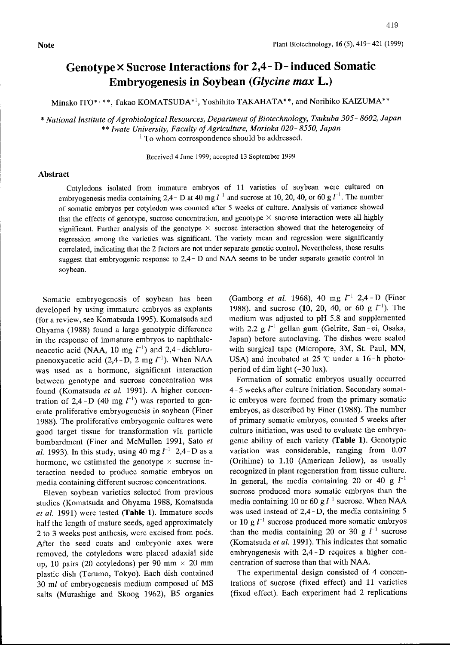## Genotype X Sucrose Interactions for 2,4- D- induced Somatic Embryogenesis in Soybean (Glycine max L.)

Minako ITO\* · \*\*, Takao KOMATSUDA\*<sup>1</sup>, Yoshihito TAKAHATA\*\*, and Norihiko KAIZUMA\*\*

\* National Institute ofAgrobiological Resources, Department of Biotechnology, Tsukuba 305- 8602, Japan \*\* Iwate University, Faculty of Agriculture, Morioka 020-8550, Japan

<sup>1</sup> To whom correspondence should be addressed.

Received 4June 1999; accepted <sup>13</sup> September 1999

## Abstract

Cotyledons isolated ftom immature embryos of 11 varieties of soybean were cultured on embryogenesis media containing 2,4- D at 40 mg  $l^{-1}$  and sucrose at 10, 20, 40, or 60 g  $l^{-1}$ . The number of somatic embryos per cotyledon was counted after 5weeks of culture. Analysis of variance showed that the effects of genotype, sucrose concentration, and genotype  $\times$  sucrose interaction were all highly significant. Further analysis of the genotype  $\times$  sucrose interaction showed that the heterogeneity of regression among the varieties was significant. The variety mean and regression were significantly correlated, indicating that the 2 factors are not under separate genetic control. Nevertheless, these results suggest that embryogenic response to 2,4 - D and NAA seems to be under separate genetic control in soybean.

Somatic embryogenesis of soybean has been developed by using immature embryos as explants (for a review, see Komatsuda 1995). Komatsuda and Ohyama (1988) found a large genotypic difference in the response of immature embryos to naphthaleneacetic acid (NAA, 10 mg  $l^{-1}$ ) and 2,4-dichlorophenoxyacetic acid (2,4-D, 2 mg  $l^{-1}$ ). When NAA was used as a hormone, significant interaction between genotype and sucrose concentration was found (Komatsuda et al. 1991). A higher concentration of 2,4-D (40 mg  $l^{-1}$ ) was reported to generate proliferative embryogenesis in soybean (Finer 1988). The proliferative embryogenic cultures were good target tissue for transformation via particle bombardment (Finer and McMullen 1991, Sato et al. 1993). In this study, using 40 mg  $l^{-1}$  2,4-D as a hormone, we estimated the genotype  $\times$  sucrose interaction needed to produce somatic embryos on media containing different sucrose concentrations.

Eleven soybean varieties selected from previous studies (Komatsuda and Ohyama 1988, Komatsuda et al. 1991) were tested (Table 1). Immature seeds half the length of mature seeds, aged approximately 2to 3weeks post anthesis, were excised from pods. After the seed coats and embryonic axes were removed, the cotyledons were placed adaxial side up, 10 pairs (20 cotyledons) per 90 mm  $\times$  20 mm plastic dish (Terumo, Tokyo). Each dish contained <sup>30</sup> ml of embryogenesis medium composed of MS salts (Murashige and Skoog 1962), B5 organics (Gamborg et al. 1968), 40 mg  $l^{-1}$  2,4 - D (Finer 1988), and sucrose (10, 20, 40, or 60 g  $l^{-1}$ ). The medium was adjusted to pH 5.8 and supplernented with 2.2 g  $l^{-1}$  gellan gum (Gelrite, San-ei, Osaka, Japan) before autoclaving. The dishes were sealed with surgical tape (Micropore, 3M, St. Paul, MN, USA) and incubated at  $25$  °C under a 16-h photoperiod of dim light  $(-30 \text{ lux})$ .

Formation of somatic embryos usually occurred 4- 5weeks after culture initiation. Secondary somatic embryos were formed from the primary somatic embryos, as described by Finer (1988). The number of primary somatic embryos, counted 5weeks after culture initiation, was used to evaluate the embryogenic ability of each variety (Table 1). Genotypic variation was considerable, ranging from 0.07 (Orihime) to 1.10 (American Jellow), as usually recognized in plant regeneration from tissue culture. In general, the media containing 20 or 40 g  $l^{-1}$ sucrose produced more somatic embryos than the media containing 10 or 60 g $l^{-1}$  sucrose. When NAA was used instead of  $2,4$  - D, the media containing 5 or 10 g  $l^{-1}$  sucrose produced more somatic embryos than the media containing 20 or 30 g  $l^{-1}$  sucrose (Komatsuda et al. 1991). This indicates that somatic embryogenesis with 2,4 - D requires a higher concentration of sucrose than that with NAA.

The experimental design consisted of 4 concentrations of sucrose (fixed effect) and 11 varieties (fixed effect). Each experiment had 2 replications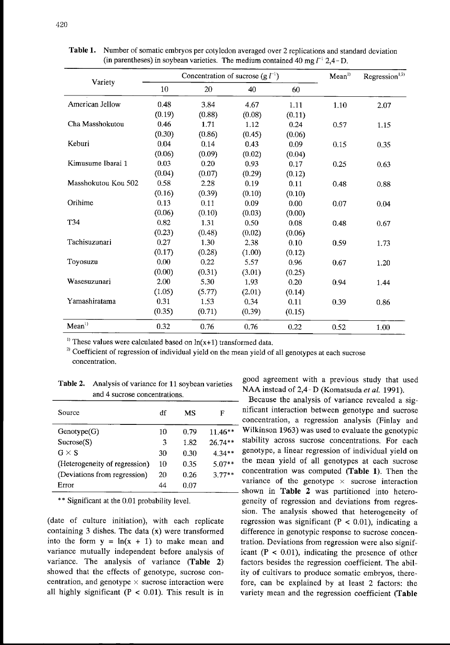|                     |        | Concentration of sucrose (g $l^{-1}$ ) | Mean <sup>1</sup> | Regression <sup>1,2)</sup> |      |      |
|---------------------|--------|----------------------------------------|-------------------|----------------------------|------|------|
| Variety             | 10     | 20                                     | 40                | 60                         |      |      |
| American Jellow     | 0.48   | 3.84                                   | 4.67              | 1.11                       | 1.10 | 2.07 |
|                     | (0.19) | (0.88)                                 | (0.08)            | (0.11)                     |      |      |
| Cha Masshokutou     | 0.46   | 1.71                                   | 1.12              | 0.24                       | 0.57 | 1.15 |
|                     | (0.30) | (0.86)                                 | (0.45)            | (0.06)                     |      |      |
| Keburi              | 0.04   | 0.14                                   | 0.43              | 0.09                       | 0.15 | 0.35 |
|                     | (0.06) | (0.09)                                 | (0.02)            | (0.04)                     |      |      |
| Kimusume Ibarai 1   | 0.03   | 0.20                                   | 0.93              | 0.17                       | 0.25 | 0.63 |
|                     | (0.04) | (0.07)                                 | (0.29)            | (0.12)                     |      |      |
| Masshokutou Kou 502 | 0.58   | 2.28                                   | 0.19              | 0.11                       | 0.48 | 0.88 |
|                     | (0.16) | (0.39)                                 | (0.10)            | (0.10)                     |      |      |
| Orihime             | 0.13   | 0.11                                   | 0.09              | 0.00                       | 0.07 | 0.04 |
|                     | (0.06) | (0.10)                                 | (0.03)            | (0.00)                     |      |      |
| T34                 | 0.82   | 1.31                                   | 0.50              | 0.08                       | 0.48 | 0.67 |
|                     | (0.23) | (0.48)                                 | (0.02)            | (0.06)                     |      |      |
| Tachisuzunari       | 0.27   | 1.30                                   | 2.38              | $0.10\,$                   | 0.59 | 1.73 |
|                     | (0.17) | (0.28)                                 | (1.00)            | (0.12)                     |      |      |
| Toyosuzu            | 0.00   | 0.22                                   | 5.57              | 0.96                       | 0.67 | 1.20 |
|                     | (0.00) | (0.31)                                 | (3.01)            | (0.25)                     |      |      |
| Wasesuzunari        | 2.00   | 5.30                                   | 1.93              | 0.20                       | 0.94 | 1.44 |
|                     | (1.05) | (5.77)                                 | (2.01)            | (0.14)                     |      |      |
| Yamashiratama       | 0.31   | 1.53                                   | 0.34              | 0.11                       | 0.39 | 0.86 |
|                     | (0.35) | (0.71)                                 | (0.39)            | (0.15)                     |      |      |
| Mean <sup>1</sup>   | 0.32   | 0.76                                   | 0.76              | 0.22                       | 0.52 | 1.00 |

Table 1. Number of somatic embryos per cotyledon averaged over 2replications and standard deviation (in parentheses) in soybean varieties. The medium contained 40 mg  $l^{-1}$  2.4-D.

<sup>1)</sup> These values were calculated based on  $ln(x+1)$  transformed data.

 $2)$  Coefficient of regression of individual yield on the mean yield of all genotypes at each sucrose concentration.

Table 2. Analysis of variance for 11 soybean varieties Analysis of variance for 11 soyocan varieties<br>NAA instead of 2,4 - D (Komatsuda *et al.* 1991).<br> $-$ 

|                               |    |      |           | Decause the analysis of variance revealed a sig-                                                      |
|-------------------------------|----|------|-----------|-------------------------------------------------------------------------------------------------------|
| Source                        | df | MS   |           | nificant interaction between genotype and sucrose<br>concentration, a regression analysis (Finlay and |
| Genotype(G)                   | 10 | 0.79 | $11.46**$ | Wilkinson 1963) was used to evaluate the genotypic                                                    |
| Sucrose(S)                    |    | 1.82 | $26.74**$ | stability across sucrose concentrations. For each                                                     |
| $G \times S$                  | 30 | 0.30 | $4.34**$  | genotype, a linear regression of individual yield on                                                  |
| (Heterogeneity of regression) | 10 | 0.35 | $5.07**$  | the mean yield of all genotypes at each sucrose                                                       |
| (Deviations from regression)  | 20 | 0.26 | $3.77**$  | concentration was computed (Table 1). Then the                                                        |
| Error                         | 44 | 0.07 |           | variance of the genotype $\times$ sucrose interaction                                                 |
|                               |    |      |           | shown in Table 2 was partitioned into before                                                          |

containing 3 dishes. The data  $(x)$  were transformed difference in genotypic response to sucrose conceninto the form  $y = ln(x +$ variance mutually independent before analysis of icant  $(P < 0.01)$ , indicating the presence of other variance. The analysis of variance (Table 2) factors besides the regression coefficient. The abilshowed that the effects of genotype, sucrose con-<br>ity of cultivars to produce somatic embryos, therecentration, and genotype  $\times$  sucrose interaction were fore, can be explained by at least 2 factors: the

good agreement with a previous study that used

Because the analysis of variance revealed a significant interaction between genotype and sucrose concentration, a regression analysis (Finlay and Wilkinson 1963) was used to evaluate the genotypic stability across sucrose concentrations. For each the mean yield of all genotypes at each sucrose concentration was computed (Table 1). Then the variance of the genotype  $\times$  sucrose interaction shown in Table 2 was partitioned into hetero-\*\* Significant at the 0.01 probability level. geneity of regression and deviations from regression. The analysis showed that heterogeneity of (date of culture initiation), with each replicate regression was significant  $(P < 0.01)$ , indicating a tration. Deviations from regression were also signifall highly significant ( $P < 0.01$ ). This result is in variety mean and the regression coefficient (Table